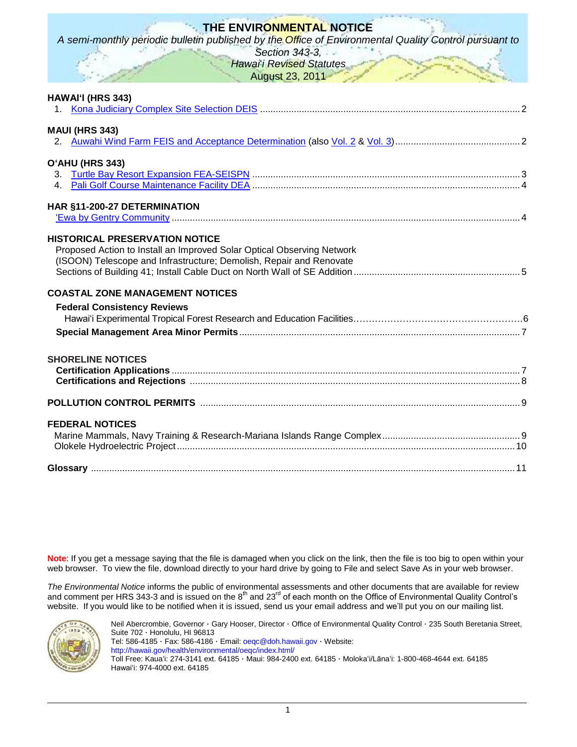# **THE ENVIRONMENTAL NOTICE**

*A semi-monthly periodic bulletin published by the Office of Environmental Quality Control pursuant to* 

*Section 343-3,* **Hawai**' Revised Statutes August 23, 2011

| HAWAI'I (HRS 343)                                                                                                                                                                      |  |  |
|----------------------------------------------------------------------------------------------------------------------------------------------------------------------------------------|--|--|
| <b>MAUI (HRS 343)</b>                                                                                                                                                                  |  |  |
| O'AHU (HRS 343)                                                                                                                                                                        |  |  |
| HAR §11-200-27 DETERMINATION                                                                                                                                                           |  |  |
| <b>HISTORICAL PRESERVATION NOTICE</b><br>Proposed Action to Install an Improved Solar Optical Observing Network<br>(ISOON) Telescope and Infrastructure; Demolish, Repair and Renovate |  |  |
| <b>COASTAL ZONE MANAGEMENT NOTICES</b><br><b>Federal Consistency Reviews</b>                                                                                                           |  |  |
| <b>SHORELINE NOTICES</b>                                                                                                                                                               |  |  |
|                                                                                                                                                                                        |  |  |
| <b>FEDERAL NOTICES</b>                                                                                                                                                                 |  |  |
|                                                                                                                                                                                        |  |  |

**Note**: If you get a message saying that the file is damaged when you click on the link, then the file is too big to open within your web browser. To view the file, download directly to your hard drive by going to File and select Save As in your web browser.

*The Environmental Notice* informs the public of environmental assessments and other documents that are available for review and comment per HRS 343-3 and is issued on the  $8^{th}$  and 23<sup>rd</sup> of each month on the Office of Environmental Quality Control's website. If you would like to be notified when it is issued, send us your email address and we"ll put you on our mailing list.



Neil Abercrombie, Governor · Gary Hooser, Director · Office of Environmental Quality Control · 235 South Beretania Street, Suite 702 · Honolulu, HI 96813 Tel: 586-4185 · Fax: 586-4186 · Email: [oeqc@doh.hawaii.gov](mailto:oeqc@doh.hawaii.gov) · Website: <http://hawaii.gov/health/environmental/oeqc/index.html/> Toll Free: Kauaʻi: 274-3141 ext. 64185 · Maui: 984-2400 ext. 64185 · Molokaʻi/Lānaʻi: 1-800-468-4644 ext. 64185 Hawaiʻi: 974-4000 ext. 64185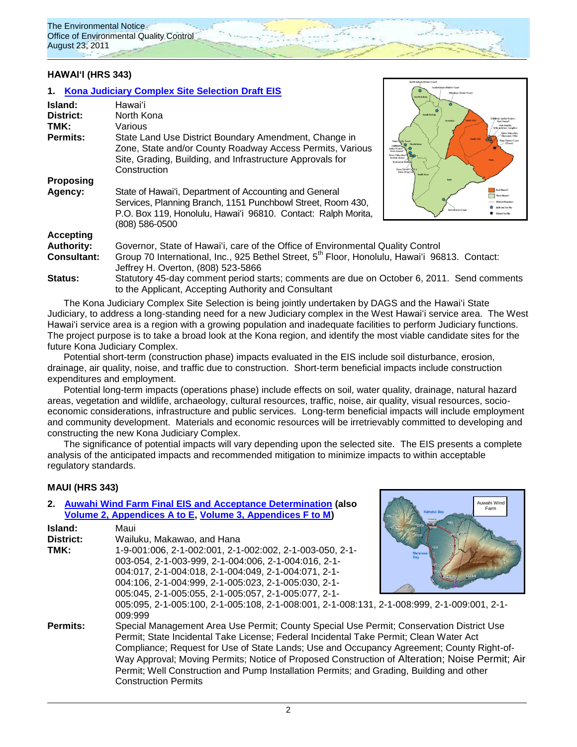

## **HAWAIʻI (HRS 343)**

## **1. [Kona Judiciary Complex Site Selection](http://oeqc.doh.hawaii.gov/Shared%20Documents/EA_and_EIS_Online_Library/Hawaii/2010s/2011-08-23-DEIS-Kona-Judiciary-Complex.pdf) Draft EIS**

| Island:<br>District:<br>TMK:<br>Permits: | Hawaiʻi<br>North Kona<br>Various<br>State Land Use District Boundary Amendment, Change in<br>Zone, State and/or County Roadway Access Permits, Various<br>Site, Grading, Building, and Infrastructure Approvals for<br>Construction | South Kohala<br>hildrea's betice Center<br>Hamilton<br>East Hasself<br><b>Hale Kaufé</b><br><b>Intice Center</b><br>West Havai<br>Driver Education<br><b>Section (Kona)</b><br>Keálenda<br>Kena Circuit 6<br>Kona Drug Cour<br><b>South Kena</b> |
|------------------------------------------|-------------------------------------------------------------------------------------------------------------------------------------------------------------------------------------------------------------------------------------|--------------------------------------------------------------------------------------------------------------------------------------------------------------------------------------------------------------------------------------------------|
| <b>Proposing</b>                         |                                                                                                                                                                                                                                     |                                                                                                                                                                                                                                                  |
| Agency:                                  | State of Hawai'i, Department of Accounting and General<br>Services, Planning Branch, 1151 Punchbowl Street, Room 430,<br>P.O. Box 119, Honolulu, Hawai'i 96810. Contact: Ralph Morita,<br>(808) 586-0500                            | East Hawaii<br>Ka'D District Court                                                                                                                                                                                                               |
| <b>Accepting</b>                         |                                                                                                                                                                                                                                     |                                                                                                                                                                                                                                                  |
| <b>Authority:</b>                        | Governor, State of Hawai'i, care of the Office of Environmental Quality Control                                                                                                                                                     |                                                                                                                                                                                                                                                  |
| <b>Consultant:</b>                       | Group 70 International, Inc., 925 Bethel Street, 5 <sup>th</sup> Floor, Honolulu, Hawai'i 96813. Contact:<br>Jeffrey H. Overton, (808) 523-5866                                                                                     |                                                                                                                                                                                                                                                  |
| Status:                                  | Statutory 45-day comment period starts; comments are due on October 6, 2011. Send comments<br>to the Applicant, Accepting Authority and Consultant                                                                                  |                                                                                                                                                                                                                                                  |

The Kona Judiciary Complex Site Selection is being jointly undertaken by DAGS and the Hawaiʻi State Judiciary, to address a long-standing need for a new Judiciary complex in the West Hawaiʻi service area. The West Hawaiʻi service area is a region with a growing population and inadequate facilities to perform Judiciary functions. The project purpose is to take a broad look at the Kona region, and identify the most viable candidate sites for the future Kona Judiciary Complex.

Potential short-term (construction phase) impacts evaluated in the EIS include soil disturbance, erosion, drainage, air quality, noise, and traffic due to construction. Short-term beneficial impacts include construction expenditures and employment.

Potential long-term impacts (operations phase) include effects on soil, water quality, drainage, natural hazard areas, vegetation and wildlife, archaeology, cultural resources, traffic, noise, air quality, visual resources, socioeconomic considerations, infrastructure and public services. Long-term beneficial impacts will include employment and community development. Materials and economic resources will be irretrievably committed to developing and constructing the new Kona Judiciary Complex.

The significance of potential impacts will vary depending upon the selected site. The EIS presents a complete analysis of the anticipated impacts and recommended mitigation to minimize impacts to within acceptable regulatory standards.

### **MAUI (HRS 343)**

|           | 2. Auwahi Wind Farm Final EIS and Acceptance Determination (also                               | Auwahi Wind<br>Farm             |
|-----------|------------------------------------------------------------------------------------------------|---------------------------------|
|           | Volume 2, Appendices A to E, Volume 3, Appendices F to M)                                      | Kahului Bay<br><b>L'anapali</b> |
| Island:   | Maui                                                                                           |                                 |
| District: | Wailuku, Makawao, and Hana                                                                     |                                 |
| TMK:      | 1-9-001:006, 2-1-002:001, 2-1-002:002, 2-1-003-050, 2-1-                                       |                                 |
|           | 003-054, 2-1-003-999, 2-1-004:006, 2-1-004:016, 2-1-                                           |                                 |
|           | 004:017, 2-1-004:018, 2-1-004:049, 2-1-004:071, 2-1-                                           |                                 |
|           | 004:106, 2-1-004:999, 2-1-005:023, 2-1-005:030, 2-1-                                           |                                 |
|           | 005:045, 2-1-005:055, 2-1-005:057, 2-1-005:077, 2-1-                                           |                                 |
|           | 005:095, 2-1-005:100, 2-1-005:108, 2-1-008:001, 2-1-008:131, 2-1-008:999, 2-1-009:001, 2-1-    |                                 |
|           | 009:999                                                                                        |                                 |
| Permits:  | Special Management Area Use Permit; County Special Use Permit; Conservation District Use       |                                 |
|           | Permit; State Incidental Take License; Federal Incidental Take Permit; Clean Water Act         |                                 |
|           | Compliance; Request for Use of State Lands; Use and Occupancy Agreement; County Right-of-      |                                 |
|           | Way Approval; Moving Permits; Notice of Proposed Construction of Alteration; Noise Permit; Air |                                 |
|           | Permit; Well Construction and Pump Installation Permits; and Grading, Building and other       |                                 |
|           | <b>Construction Permits</b>                                                                    |                                 |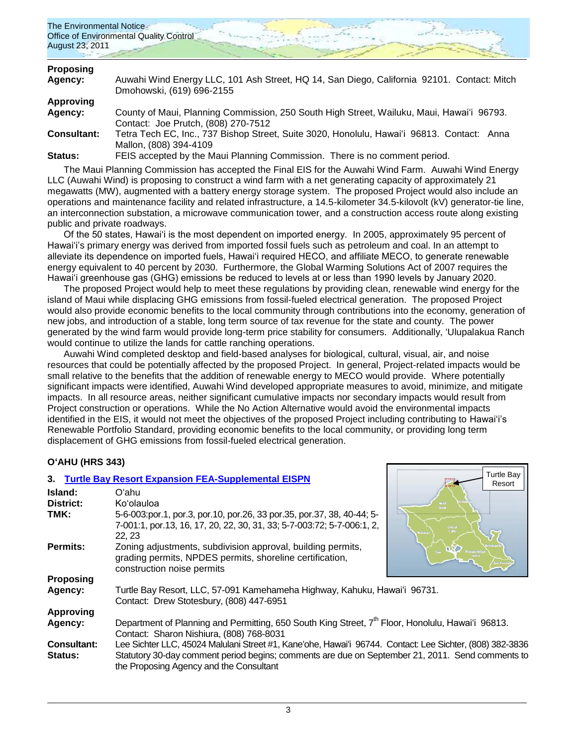

| <b>Proposing</b>   |                                                                                            |
|--------------------|--------------------------------------------------------------------------------------------|
| Agency:            | Auwahi Wind Energy LLC, 101 Ash Street, HQ 14, San Diego, California 92101. Contact: Mitch |
|                    | Dmohowski, (619) 696-2155                                                                  |
| Approving          |                                                                                            |
| <b>Agency:</b>     | County of Maui, Planning Commission, 250 South High Street, Wailuku, Maui, Hawai'i 96793.  |
|                    | Contact: Joe Prutch, (808) 270-7512                                                        |
| <b>Consultant:</b> | Tetra Tech EC, Inc., 737 Bishop Street, Suite 3020, Honolulu, Hawai'i 96813. Contact: Anna |
|                    | Mallon, (808) 394-4109                                                                     |
| <b>Status:</b>     | FEIS accepted by the Maui Planning Commission. There is no comment period.                 |
|                    |                                                                                            |

The Maui Planning Commission has accepted the Final EIS for the Auwahi Wind Farm. Auwahi Wind Energy LLC (Auwahi Wind) is proposing to construct a wind farm with a net generating capacity of approximately 21 megawatts (MW), augmented with a battery energy storage system. The proposed Project would also include an operations and maintenance facility and related infrastructure, a 14.5-kilometer 34.5-kilovolt (kV) generator-tie line, an interconnection substation, a microwave communication tower, and a construction access route along existing public and private roadways.

Of the 50 states, Hawai"i is the most dependent on imported energy. In 2005, approximately 95 percent of Hawaiʻi"s primary energy was derived from imported fossil fuels such as petroleum and coal. In an attempt to alleviate its dependence on imported fuels. Hawai'i required HECO, and affiliate MECO, to generate renewable energy equivalent to 40 percent by 2030. Furthermore, the Global Warming Solutions Act of 2007 requires the Hawai"i greenhouse gas (GHG) emissions be reduced to levels at or less than 1990 levels by January 2020.

The proposed Project would help to meet these regulations by providing clean, renewable wind energy for the island of Maui while displacing GHG emissions from fossil-fueled electrical generation. The proposed Project would also provide economic benefits to the local community through contributions into the economy, generation of new jobs, and introduction of a stable, long term source of tax revenue for the state and county. The power generated by the wind farm would provide long-term price stability for consumers. Additionally, ʻUlupalakua Ranch would continue to utilize the lands for cattle ranching operations.

Auwahi Wind completed desktop and field-based analyses for biological, cultural, visual, air, and noise resources that could be potentially affected by the proposed Project. In general, Project-related impacts would be small relative to the benefits that the addition of renewable energy to MECO would provide. Where potentially significant impacts were identified, Auwahi Wind developed appropriate measures to avoid, minimize, and mitigate impacts. In all resource areas, neither significant cumulative impacts nor secondary impacts would result from Project construction or operations. While the No Action Alternative would avoid the environmental impacts identified in the EIS, it would not meet the objectives of the proposed Project including contributing to Hawaiʻi"s Renewable Portfolio Standard, providing economic benefits to the local community, or providing long term displacement of GHG emissions from fossil-fueled electrical generation.

Turtle Bay

# **OʻAHU (HRS 343)**

|                               | 3. Turtle Bay Resort Expansion FEA-Supplemental EISPN                                                                                                                                                                                                   | Turtle Day<br>Resort             |
|-------------------------------|---------------------------------------------------------------------------------------------------------------------------------------------------------------------------------------------------------------------------------------------------------|----------------------------------|
| Island:                       | Oʻahu                                                                                                                                                                                                                                                   |                                  |
| <b>District:</b>              | Ko'olauloa                                                                                                                                                                                                                                              | Show                             |
| TMK:                          | 5-6-003:por.1, por.3, por.10, por.26, 33 por.35, por.37, 38, 40-44; 5-<br>7-001:1, por.13, 16, 17, 20, 22, 30, 31, 33; 5-7-003:72; 5-7-006:1, 2,<br>22.23                                                                                               | <b>Central</b><br>.<br>A al'anar |
| Permits:                      | Zoning adjustments, subdivision approval, building permits,<br>grading permits, NPDES permits, shoreline certification,<br>construction noise permits                                                                                                   |                                  |
| <b>Proposing</b>              |                                                                                                                                                                                                                                                         |                                  |
| Agency:                       | Turtle Bay Resort, LLC, 57-091 Kamehameha Highway, Kahuku, Hawai'i 96731.<br>Contact: Drew Stotesbury, (808) 447-6951                                                                                                                                   |                                  |
| <b>Approving</b>              |                                                                                                                                                                                                                                                         |                                  |
| Agency:                       | Department of Planning and Permitting, 650 South King Street, 7 <sup>th</sup> Floor, Honolulu, Hawai'i 96813.<br>Contact: Sharon Nishiura, (808) 768-8031                                                                                               |                                  |
| <b>Consultant:</b><br>Status: | Lee Sichter LLC, 45024 Malulani Street #1, Kane'ohe, Hawai'i 96744. Contact: Lee Sichter, (808) 382-3836<br>Statutory 30-day comment period begins; comments are due on September 21, 2011. Send comments to<br>the Proposing Agency and the Consultant |                                  |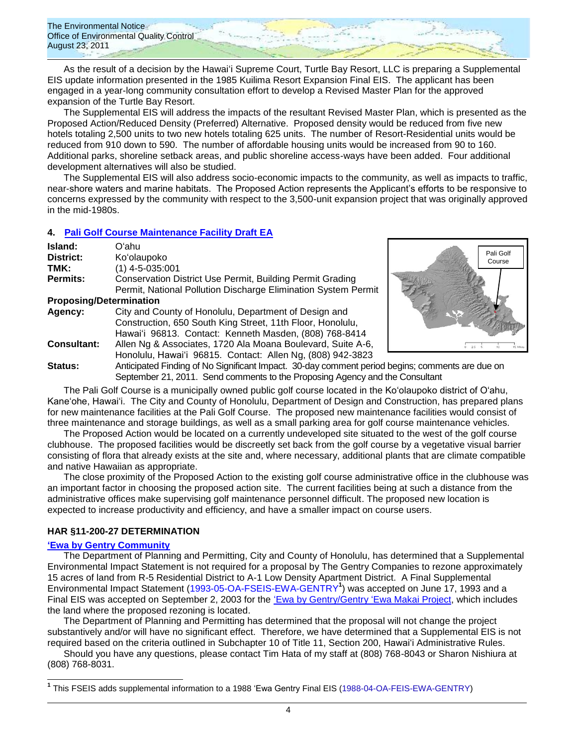

As the result of a decision by the Hawaiʻi Supreme Court, Turtle Bay Resort, LLC is preparing a Supplemental EIS update information presented in the 1985 Kuilima Resort Expansion Final EIS. The applicant has been engaged in a year-long community consultation effort to develop a Revised Master Plan for the approved expansion of the Turtle Bay Resort.

The Supplemental EIS will address the impacts of the resultant Revised Master Plan, which is presented as the Proposed Action/Reduced Density (Preferred) Alternative. Proposed density would be reduced from five new hotels totaling 2,500 units to two new hotels totaling 625 units. The number of Resort-Residential units would be reduced from 910 down to 590. The number of affordable housing units would be increased from 90 to 160. Additional parks, shoreline setback areas, and public shoreline access-ways have been added. Four additional development alternatives will also be studied.

The Supplemental EIS will also address socio-economic impacts to the community, as well as impacts to traffic, near-shore waters and marine habitats. The Proposed Action represents the Applicant"s efforts to be responsive to concerns expressed by the community with respect to the 3,500-unit expansion project that was originally approved in the mid-1980s.

# **4. [Pali Golf Course Maintenance Facility](http://oeqc.doh.hawaii.gov/Shared%20Documents/EA_and_EIS_Online_Library/Oahu/2010s/2011-08-23-DEA-Pali-Golf-Maintenance-Facility.pdf) Draft EA**

| Island:                        | Oʻahu                                                                   |  |
|--------------------------------|-------------------------------------------------------------------------|--|
| District:                      | Ko'olaupoko                                                             |  |
| TMK:                           | $(1)$ 4-5-035:001                                                       |  |
| Permits:                       | <b>Conservation District Use Permit, Building Permit Grading</b>        |  |
|                                | Permit, National Pollution Discharge Elimination System Permit          |  |
| <b>Proposing/Determination</b> |                                                                         |  |
| Agency:                        | City and County of Honolulu, Department of Design and                   |  |
|                                | Construction, 650 South King Street, 11th Floor, Honolulu,              |  |
|                                | Hawai'i 96813. Contact: Kenneth Masden, (808) 768-8414                  |  |
| <b>Consultant:</b>             | Allen Ng & Associates, 1720 Ala Moana Boulevard, Suite A-6,             |  |
|                                | Honolulu, Hawai'i 96815. Contact: Allen Ng, (808) 942-3823              |  |
| Statue:                        | Anticipated Finding of No Significant Impact 30-day comment period begi |  |



**Status:** Anticipated Finding of No Significant Impact. 30-day comment period begins; comments are due on September 21, 2011. Send comments to the Proposing Agency and the Consultant

The Pali Golf Course is a municipally owned public golf course located in the Ko"olaupoko district of O"ahu, Kaneʻohe, Hawai"i. The City and County of Honolulu, Department of Design and Construction, has prepared plans for new maintenance facilities at the Pali Golf Course. The proposed new maintenance facilities would consist of three maintenance and storage buildings, as well as a small parking area for golf course maintenance vehicles.

The Proposed Action would be located on a currently undeveloped site situated to the west of the golf course clubhouse. The proposed facilities would be discreetly set back from the golf course by a vegetative visual barrier consisting of flora that already exists at the site and, where necessary, additional plants that are climate compatible and native Hawaiian as appropriate.

The close proximity of the Proposed Action to the existing golf course administrative office in the clubhouse was an important factor in choosing the proposed action site. The current facilities being at such a distance from the administrative offices make supervising golf maintenance personnel difficult. The proposed new location is expected to increase productivity and efficiency, and have a smaller impact on course users.

## **HAR §11-200-27 DETERMINATION**

### **[ʻEwa by Gentry Community](http://oeqc.doh.hawaii.gov/Shared%20Documents/EA_and_EIS_Online_Library/Oahu/2010s/2011-08-23-Ewa-by-Gentry-Community-11-200-27-HAR-Determination.pdf)**

 $\overline{a}$ 

The Department of Planning and Permitting, City and County of Honolulu, has determined that a Supplemental Environmental Impact Statement is not required for a proposal by The Gentry Companies to rezone approximately 15 acres of land from R-5 Residential District to A-1 Low Density Apartment District. A Final Supplemental Environmental Impact Statement [\(1993-05-OA-FSEIS-EWA-GENTRY](http://oeqc.doh.hawaii.gov/Shared%20Documents/EA_and_EIS_Online_Library/Oahu/1990s/1993-05-OA-FSEIS-EWA-GENTRY.pdf)**<sup>1</sup>** ) was accepted on June 17, 1993 and a Final EIS was accepted on September 2, 2003 for the [ʻEwa by Gentry/Gentry ʻEwa Makai Project,](http://oeqc.doh.hawaii.gov/Shared%20Documents/EA_and_EIS_Online_Library/Oahu/2000s/2003-09-08-OA-FEIS-GENTRY-EWA-MAKAI.pdf) which includes the land where the proposed rezoning is located.

The Department of Planning and Permitting has determined that the proposal will not change the project substantively and/or will have no significant effect. Therefore, we have determined that a Supplemental EIS is not required based on the criteria outlined in Subchapter 10 of Title 11, Section 200, Hawaiʻi Administrative Rules.

Should you have any questions, please contact Tim Hata of my staff at (808) 768-8043 or Sharon Nishiura at (808) 768-8031.

**<sup>1</sup>** This FSEIS adds supplemental information to a 1988 ʻEwa Gentry Final EIS [\(1988-04-OA-FEIS-EWA-GENTRY\)](http://oeqc.doh.hawaii.gov/Shared%20Documents/EA_and_EIS_Online_Library/Oahu/1980s/1988-04-OA-FEIS-EWA-GENTRY.pdf)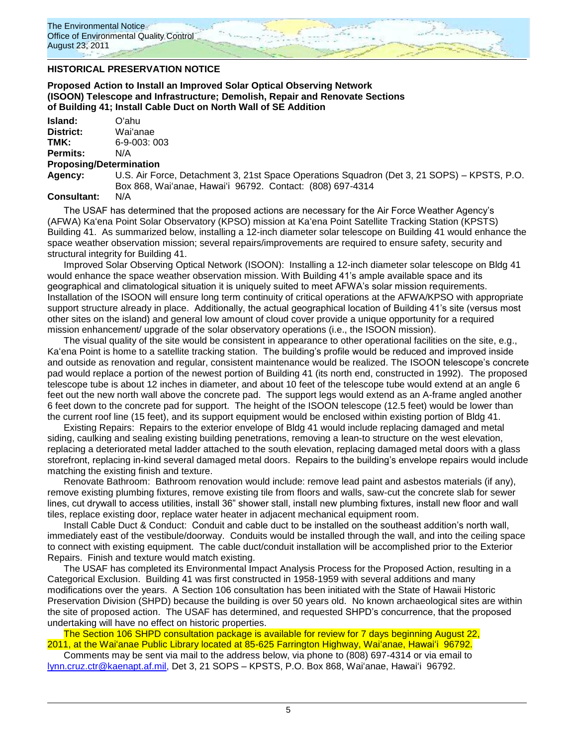### **HISTORICAL PRESERVATION NOTICE**

**Proposed Action to Install an Improved Solar Optical Observing Network (ISOON) Telescope and Infrastructure; Demolish, Repair and Renovate Sections of Building 41; Install Cable Duct on North Wall of SE Addition**

| Island:   | Oʻahu         |
|-----------|---------------|
| District: | Wai'anae      |
| TMK:      | $6-9-003:003$ |
| Permits:  | N/A           |
|           |               |

#### **Proposing/Determination**

**Agency:** U.S. Air Force, Detachment 3, 21st Space Operations Squadron (Det 3, 21 SOPS) – KPSTS, P.O. Box 868, Waiʻanae, Hawaiʻi 96792. Contact: (808) 697-4314

## **Consultant:** N/A

The USAF has determined that the proposed actions are necessary for the Air Force Weather Agency"s (AFWA) Kaʻena Point Solar Observatory (KPSO) mission at Kaʻena Point Satellite Tracking Station (KPSTS) Building 41. As summarized below, installing a 12-inch diameter solar telescope on Building 41 would enhance the space weather observation mission; several repairs/improvements are required to ensure safety, security and structural integrity for Building 41.

Improved Solar Observing Optical Network (ISOON): Installing a 12-inch diameter solar telescope on Bldg 41 would enhance the space weather observation mission. With Building 41"s ample available space and its geographical and climatological situation it is uniquely suited to meet AFWA"s solar mission requirements. Installation of the ISOON will ensure long term continuity of critical operations at the AFWA/KPSO with appropriate support structure already in place. Additionally, the actual geographical location of Building 41's site (versus most other sites on the island) and general low amount of cloud cover provide a unique opportunity for a required mission enhancement/ upgrade of the solar observatory operations (i.e., the ISOON mission).

The visual quality of the site would be consistent in appearance to other operational facilities on the site, e.g., Kaʻena Point is home to a satellite tracking station. The building"s profile would be reduced and improved inside and outside as renovation and regular, consistent maintenance would be realized. The ISOON telescope"s concrete pad would replace a portion of the newest portion of Building 41 (its north end, constructed in 1992). The proposed telescope tube is about 12 inches in diameter, and about 10 feet of the telescope tube would extend at an angle 6 feet out the new north wall above the concrete pad. The support legs would extend as an A-frame angled another 6 feet down to the concrete pad for support. The height of the ISOON telescope (12.5 feet) would be lower than the current roof line (15 feet), and its support equipment would be enclosed within existing portion of Bldg 41.

Existing Repairs: Repairs to the exterior envelope of Bldg 41 would include replacing damaged and metal siding, caulking and sealing existing building penetrations, removing a lean-to structure on the west elevation, replacing a deteriorated metal ladder attached to the south elevation, replacing damaged metal doors with a glass storefront, replacing in-kind several damaged metal doors. Repairs to the building"s envelope repairs would include matching the existing finish and texture.

Renovate Bathroom: Bathroom renovation would include: remove lead paint and asbestos materials (if any), remove existing plumbing fixtures, remove existing tile from floors and walls, saw-cut the concrete slab for sewer lines, cut drywall to access utilities, install 36" shower stall, install new plumbing fixtures, install new floor and wall tiles, replace existing door, replace water heater in adjacent mechanical equipment room.

Install Cable Duct & Conduct: Conduit and cable duct to be installed on the southeast addition"s north wall, immediately east of the vestibule/doorway. Conduits would be installed through the wall, and into the ceiling space to connect with existing equipment. The cable duct/conduit installation will be accomplished prior to the Exterior Repairs. Finish and texture would match existing.

The USAF has completed its Environmental Impact Analysis Process for the Proposed Action, resulting in a Categorical Exclusion. Building 41 was first constructed in 1958-1959 with several additions and many modifications over the years. A Section 106 consultation has been initiated with the State of Hawaii Historic Preservation Division (SHPD) because the building is over 50 years old. No known archaeological sites are within the site of proposed action. The USAF has determined, and requested SHPD"s concurrence, that the proposed undertaking will have no effect on historic properties.

The Section 106 SHPD consultation package is available for review for 7 days beginning August 22, 2011, at the Waiʻanae Public Library located at 85-625 Farrington Highway, Waiʻanae, Hawaiʻi 96792.

Comments may be sent via mail to the address below, via phone to (808) 697-4314 or via email to [lynn.cruz.ctr@kaenapt.af.mil,](mailto:lynn.cruz.ctr@kaenapt.af.mil) Det 3, 21 SOPS – KPSTS, P.O. Box 868, Waiʻanae, Hawaiʻi 96792.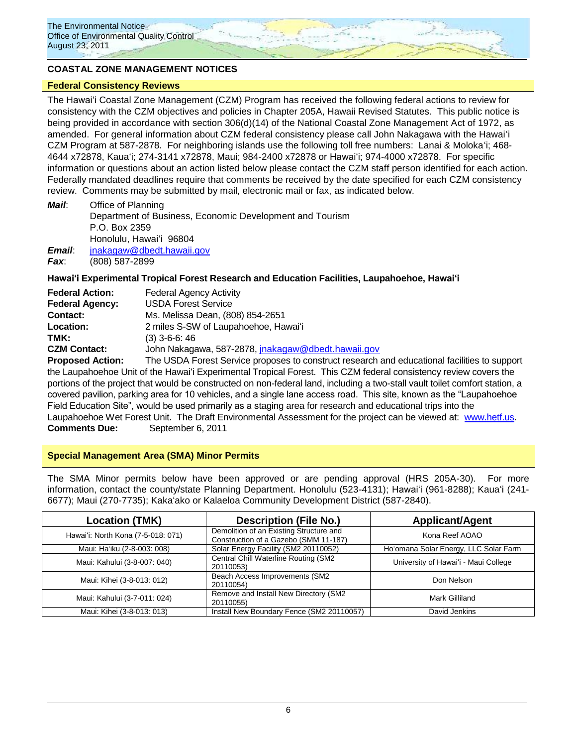## **COASTAL ZONE MANAGEMENT NOTICES**

#### **Federal Consistency Reviews**

The Hawaiʻi Coastal Zone Management (CZM) Program has received the following federal actions to review for consistency with the CZM objectives and policies in Chapter 205A, Hawaii Revised Statutes. This public notice is being provided in accordance with section 306(d)(14) of the National Coastal Zone Management Act of 1972, as amended. For general information about CZM federal consistency please call John Nakagawa with the Hawaiʻi CZM Program at 587-2878. For neighboring islands use the following toll free numbers: Lanai & Molokaʻi; 468- 4644 x72878, Kauaʻi; 274-3141 x72878, Maui; 984-2400 x72878 or Hawaiʻi; 974-4000 x72878. For specific information or questions about an action listed below please contact the CZM staff person identified for each action. Federally mandated deadlines require that comments be received by the date specified for each CZM consistency review. Comments may be submitted by mail, electronic mail or fax, as indicated below.

*Mail*: Office of Planning Department of Business, Economic Development and Tourism P.O. Box 2359 Honolulu, Hawaiʻi 96804 *Email*: [jnakagaw@dbedt.hawaii.gov](mailto:jnakagaw@dbedt.hawaii.gov)

*Fax*: (808) 587-2899

### **Hawaiʻi Experimental Tropical Forest Research and Education Facilities, Laupahoehoe, Hawaiʻi**

| <b>Federal Action:</b>  | <b>Federal Agency Activity</b>                            |
|-------------------------|-----------------------------------------------------------|
| <b>Federal Agency:</b>  | <b>USDA Forest Service</b>                                |
| Contact:                | Ms. Melissa Dean, (808) 854-2651                          |
| Location:               | 2 miles S-SW of Laupahoehoe, Hawai'i                      |
| TMK:                    | $(3)$ 3-6-6: 46                                           |
| <b>CZM Contact:</b>     | John Nakagawa, 587-2878, jnakagaw@dbedt.hawaii.gov        |
| <b>Pronosed Action:</b> | The LISDA Forest Service proposes to construct research a |

**PA Forest Service proposes to construct research and educational facilities to support** the Laupahoehoe Unit of the Hawaiʻi Experimental Tropical Forest. This CZM federal consistency review covers the portions of the project that would be constructed on non-federal land, including a two-stall vault toilet comfort station, a covered pavilion, parking area for 10 vehicles, and a single lane access road. This site, known as the "Laupahoehoe Field Education Site", would be used primarily as a staging area for research and educational trips into the Laupahoehoe Wet Forest Unit. The Draft Environmental Assessment for the project can be viewed at: [www.hetf.us.](http://www.hetf.us/) **Comments Due:** September 6, 2011

### **Special Management Area (SMA) Minor Permits**

The SMA Minor permits below have been approved or are pending approval (HRS 205A-30). For more information, contact the county/state Planning Department. Honolulu (523-4131); Hawaiʻi (961-8288); Kauaʻi (241-6677); Maui (270-7735); Kakaʻako or Kalaeloa Community Development District (587-2840).

| <b>Location (TMK)</b>              | <b>Description (File No.)</b>                                                    | <b>Applicant/Agent</b>                |
|------------------------------------|----------------------------------------------------------------------------------|---------------------------------------|
| Hawai'i: North Kona (7-5-018: 071) | Demolition of an Existing Structure and<br>Construction of a Gazebo (SMM 11-187) | Kona Reef AOAO                        |
| Maui: Ha'iku (2-8-003: 008)        | Solar Energy Facility (SM2 20110052)                                             | Ho'omana Solar Energy, LLC Solar Farm |
| Maui: Kahului (3-8-007: 040)       | Central Chill Waterline Routing (SM2<br>20110053)                                | University of Hawai'i - Maui College  |
| Maui: Kihei (3-8-013: 012)         | Beach Access Improvements (SM2<br>20110054)                                      | Don Nelson                            |
| Maui: Kahului (3-7-011: 024)       | Remove and Install New Directory (SM2<br>20110055)                               | Mark Gilliland                        |
| Maui: Kihei (3-8-013: 013)         | Install New Boundary Fence (SM2 20110057)                                        | David Jenkins                         |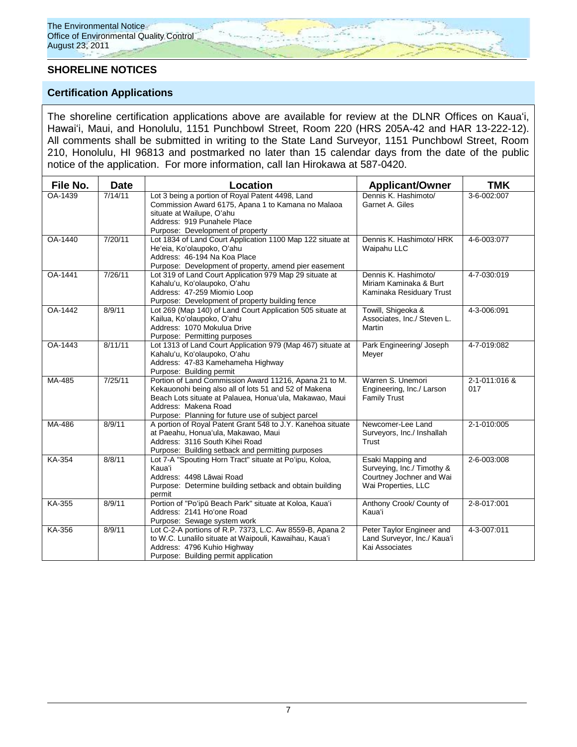# **SHORELINE NOTICES**

# **Certification Applications**

The shoreline certification applications above are available for review at the DLNR Offices on Kauaʻi, Hawaiʻi, Maui, and Honolulu, 1151 Punchbowl Street, Room 220 (HRS 205A-42 and HAR 13-222-12). All comments shall be submitted in writing to the State Land Surveyor, 1151 Punchbowl Street, Room 210, Honolulu, HI 96813 and postmarked no later than 15 calendar days from the date of the public notice of the application. For more information, call Ian Hirokawa at 587-0420.

| File No.       | <b>Date</b> | Location                                                                                                                                                                                                                                                 | <b>Applicant/Owner</b>                                                                             | <b>TMK</b>           |
|----------------|-------------|----------------------------------------------------------------------------------------------------------------------------------------------------------------------------------------------------------------------------------------------------------|----------------------------------------------------------------------------------------------------|----------------------|
| OA-1439        | 7/14/11     | Lot 3 being a portion of Royal Patent 4498, Land<br>Commission Award 6175, Apana 1 to Kamana no Malaoa<br>situate at Wailupe, O'ahu<br>Address: 919 Punahele Place<br>Purpose: Development of property                                                   | Dennis K. Hashimoto/<br>Garnet A. Giles                                                            | 3-6-002:007          |
| OA-1440        | 7/20/11     | Lot 1834 of Land Court Application 1100 Map 122 situate at<br>He'eia, Ko'olaupoko, O'ahu<br>Address: 46-194 Na Koa Place<br>Purpose: Development of property, amend pier easement                                                                        | Dennis K. Hashimoto/ HRK<br>Waipahu LLC                                                            | 4-6-003:077          |
| <b>OA-1441</b> | 7/26/11     | Lot 319 of Land Court Application 979 Map 29 situate at<br>Kahalu'u, Ko'olaupoko, O'ahu<br>Address: 47-259 Miomio Loop<br>Purpose: Development of property building fence                                                                                | Dennis K. Hashimoto/<br>Miriam Kaminaka & Burt<br>Kaminaka Residuary Trust                         | 4-7-030:019          |
| OA-1442        | 8/9/11      | Lot 269 (Map 140) of Land Court Application 505 situate at<br>Kailua, Ko'olaupoko, O'ahu<br>Address: 1070 Mokulua Drive<br>Purpose: Permitting purposes                                                                                                  | Towill, Shigeoka &<br>Associates, Inc./ Steven L.<br>Martin                                        | 4-3-006:091          |
| OA-1443        | 8/11/11     | Lot 1313 of Land Court Application 979 (Map 467) situate at<br>Kahalu'u, Ko'olaupoko, O'ahu<br>Address: 47-83 Kamehameha Highway<br>Purpose: Building permit                                                                                             | Park Engineering/ Joseph<br>Meyer                                                                  | 4-7-019:082          |
| MA-485         | 7/25/11     | Portion of Land Commission Award 11216, Apana 21 to M.<br>Kekauonohi being also all of lots 51 and 52 of Makena<br>Beach Lots situate at Palauea, Honua'ula, Makawao, Maui<br>Address: Makena Road<br>Purpose: Planning for future use of subject parcel | Warren S. Unemori<br>Engineering, Inc./ Larson<br><b>Family Trust</b>                              | 2-1-011:016 &<br>017 |
| MA-486         | 8/9/11      | A portion of Royal Patent Grant 548 to J.Y. Kanehoa situate<br>at Paeahu, Honua'ula, Makawao, Maui<br>Address: 3116 South Kihei Road<br>Purpose: Building setback and permitting purposes                                                                | Newcomer-Lee Land<br>Surveyors, Inc./ Inshallah<br>Trust                                           | 2-1-010:005          |
| KA-354         | 8/8/11      | Lot 7-A "Spouting Horn Tract" situate at Po'ipu, Koloa,<br><b>Kaua</b> 'i<br>Address: 4498 Lāwai Road<br>Purpose: Determine building setback and obtain building<br>permit                                                                               | Esaki Mapping and<br>Surveying, Inc./ Timothy &<br>Courtney Jochner and Wai<br>Wai Properties, LLC | 2-6-003:008          |
| KA-355         | 8/9/11      | Portion of "Po'ipū Beach Park" situate at Koloa, Kaua'i<br>Address: 2141 Ho'one Road<br>Purpose: Sewage system work                                                                                                                                      | Anthony Crook/ County of<br><b>Kaua</b> 'i                                                         | 2-8-017:001          |
| KA-356         | 8/9/11      | Lot C-2-A portions of R.P. 7373, L.C. Aw 8559-B, Apana 2<br>to W.C. Lunalilo situate at Waipouli, Kawaihau, Kaua'i<br>Address: 4796 Kuhio Highway<br>Purpose: Building permit application                                                                | Peter Taylor Engineer and<br>Land Surveyor, Inc./ Kaua'i<br>Kai Associates                         | 4-3-007:011          |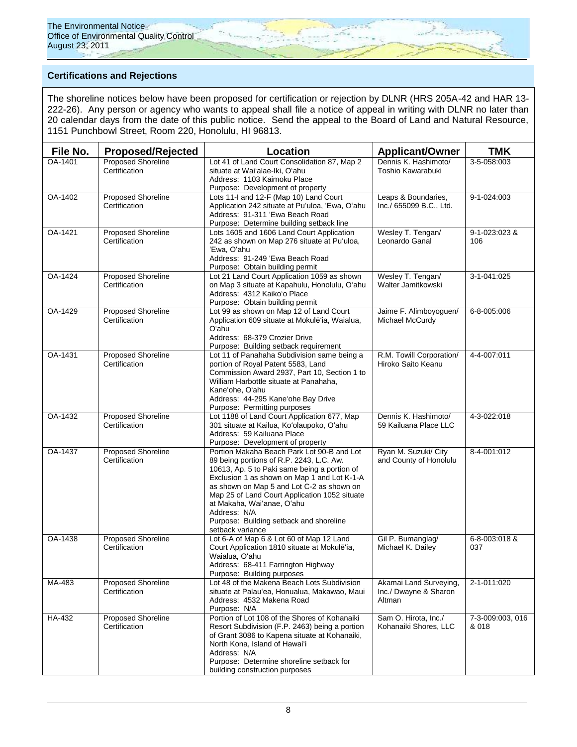

# **Certifications and Rejections**

The shoreline notices below have been proposed for certification or rejection by DLNR (HRS 205A-42 and HAR 13- 222-26). Any person or agency who wants to appeal shall file a notice of appeal in writing with DLNR no later than 20 calendar days from the date of this public notice. Send the appeal to the Board of Land and Natural Resource, 1151 Punchbowl Street, Room 220, Honolulu, HI 96813.

| File No. | <b>Proposed/Rejected</b>                   | <b>Location</b>                                                                                                                                                                                                                                                                                                                                                                                  | <b>Applicant/Owner</b>                                    | <b>TMK</b>                |
|----------|--------------------------------------------|--------------------------------------------------------------------------------------------------------------------------------------------------------------------------------------------------------------------------------------------------------------------------------------------------------------------------------------------------------------------------------------------------|-----------------------------------------------------------|---------------------------|
| OA-1401  | <b>Proposed Shoreline</b><br>Certification | Lot 41 of Land Court Consolidation 87, Map 2<br>situate at Wai'alae-Iki, O'ahu<br>Address: 1103 Kaimoku Place<br>Purpose: Development of property                                                                                                                                                                                                                                                | Dennis K. Hashimoto/<br>Toshio Kawarabuki                 | 3-5-058:003               |
| OA-1402  | <b>Proposed Shoreline</b><br>Certification | Lots 11-I and 12-F (Map 10) Land Court<br>Application 242 situate at Pu'uloa, 'Ewa, O'ahu<br>Address: 91-311 'Ewa Beach Road<br>Purpose: Determine building setback line                                                                                                                                                                                                                         | Leaps & Boundaries,<br>Inc./ 655099 B.C., Ltd.            | 9-1-024:003               |
| OA-1421  | <b>Proposed Shoreline</b><br>Certification | Lots 1605 and 1606 Land Court Application<br>242 as shown on Map 276 situate at Pu'uloa,<br>'Ewa, O'ahu<br>Address: 91-249 'Ewa Beach Road<br>Purpose: Obtain building permit                                                                                                                                                                                                                    | Wesley T. Tengan/<br>Leonardo Ganal                       | 9-1-023:023 &<br>106      |
| OA-1424  | Proposed Shoreline<br>Certification        | Lot 21 Land Court Application 1059 as shown<br>on Map 3 situate at Kapahulu, Honolulu, O'ahu<br>Address: 4312 Kaiko'o Place<br>Purpose: Obtain building permit                                                                                                                                                                                                                                   | Wesley T. Tengan/<br>Walter Jamitkowski                   | 3-1-041:025               |
| OA-1429  | <b>Proposed Shoreline</b><br>Certification | Lot 99 as shown on Map 12 of Land Court<br>Application 609 situate at Mokulē'ia, Waialua,<br>O'ahu<br>Address: 68-379 Crozier Drive<br>Purpose: Building setback requirement                                                                                                                                                                                                                     | Jaime F. Alimboyoguen/<br>Michael McCurdy                 | 6-8-005:006               |
| OA-1431  | Proposed Shoreline<br>Certification        | Lot 11 of Panahaha Subdivision same being a<br>portion of Royal Patent 5583, Land<br>Commission Award 2937, Part 10, Section 1 to<br>William Harbottle situate at Panahaha,<br>Kane'ohe, O'ahu<br>Address: 44-295 Kane'ohe Bay Drive<br>Purpose: Permitting purposes                                                                                                                             | R.M. Towill Corporation/<br>Hiroko Saito Keanu            | 4-4-007:011               |
| OA-1432  | <b>Proposed Shoreline</b><br>Certification | Lot 1188 of Land Court Application 677, Map<br>301 situate at Kailua, Ko'olaupoko, O'ahu<br>Address: 59 Kailuana Place<br>Purpose: Development of property                                                                                                                                                                                                                                       | Dennis K. Hashimoto/<br>59 Kailuana Place LLC             | 4-3-022:018               |
| OA-1437  | <b>Proposed Shoreline</b><br>Certification | Portion Makaha Beach Park Lot 90-B and Lot<br>89 being portions of R.P. 2243, L.C. Aw.<br>10613, Ap. 5 to Paki same being a portion of<br>Exclusion 1 as shown on Map 1 and Lot K-1-A<br>as shown on Map 5 and Lot C-2 as shown on<br>Map 25 of Land Court Application 1052 situate<br>at Makaha, Wai'anae, O'ahu<br>Address: N/A<br>Purpose: Building setback and shoreline<br>setback variance | Ryan M. Suzuki/ City<br>and County of Honolulu            | 8-4-001:012               |
| OA-1438  | <b>Proposed Shoreline</b><br>Certification | Lot 6-A of Map 6 & Lot 60 of Map 12 Land<br>Court Application 1810 situate at Mokulē'ia,<br>Waialua, O'ahu<br>Address: 68-411 Farrington Highway<br>Purpose: Building purposes                                                                                                                                                                                                                   | Gil P. Bumanglag/<br>Michael K. Dailey                    | 6-8-003:018 &<br>037      |
| MA-483   | <b>Proposed Shoreline</b><br>Certification | Lot 48 of the Makena Beach Lots Subdivision<br>situate at Palau'ea, Honualua, Makawao, Maui<br>Address: 4532 Makena Road<br>Purpose: N/A                                                                                                                                                                                                                                                         | Akamai Land Surveying,<br>Inc./ Dwayne & Sharon<br>Altman | 2-1-011:020               |
| HA-432   | <b>Proposed Shoreline</b><br>Certification | Portion of Lot 108 of the Shores of Kohanaiki<br>Resort Subdivision (F.P. 2463) being a portion<br>of Grant 3086 to Kapena situate at Kohanaiki,<br>North Kona, Island of Hawai'i<br>Address: N/A<br>Purpose: Determine shoreline setback for<br>building construction purposes                                                                                                                  | Sam O. Hirota, Inc./<br>Kohanaiki Shores, LLC             | 7-3-009:003, 016<br>& 018 |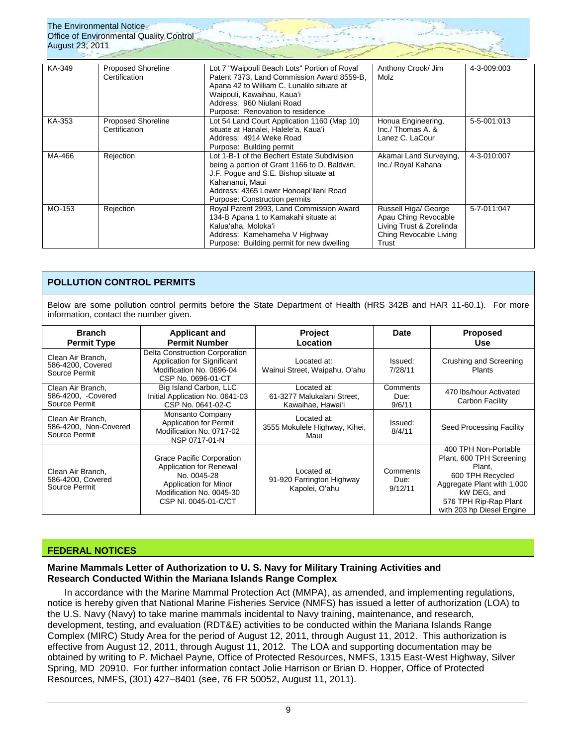| August 23, 2011 | <u>TIE LIRIIUIIIIEIII NUUCE</u><br><b>Office of Environmental Quality Control</b> |                                                                                                                                                                                                                                         |                                                                                                             |             |
|-----------------|-----------------------------------------------------------------------------------|-----------------------------------------------------------------------------------------------------------------------------------------------------------------------------------------------------------------------------------------|-------------------------------------------------------------------------------------------------------------|-------------|
| KA-349          | <b>Proposed Shoreline</b><br>Certification                                        | Lot 7 "Waipouli Beach Lots" Portion of Royal<br>Patent 7373, Land Commission Award 8559-B,<br>Apana 42 to William C. Lunalilo situate at<br>Waipouli, Kawaihau, Kaua'i<br>Address: 960 Niulani Road<br>Purpose: Renovation to residence | Anthony Crook/ Jim<br>Molz                                                                                  | 4-3-009:003 |
| KA-353          | Proposed Shoreline<br>Certification                                               | Lot 54 Land Court Application 1160 (Map 10)<br>situate at Hanalei, Halele'a, Kaua'i<br>Address: 4914 Weke Road<br>Purpose: Building permit                                                                                              | Honua Engineering,<br>Inc./ Thomas A. &<br>Lanez C. LaCour                                                  | 5-5-001:013 |
| MA-466          | Rejection                                                                         | Lot 1-B-1 of the Bechert Estate Subdivision<br>being a portion of Grant 1166 to D. Baldwin,<br>J.F. Poque and S.E. Bishop situate at<br>Kahananui, Maui<br>Address: 4365 Lower Honoapi'ilani Road<br>Purpose: Construction permits      | Akamai Land Surveying,<br>Inc./ Royal Kahana                                                                | 4-3-010:007 |
| MO-153          | Rejection                                                                         | Royal Patent 2993, Land Commission Award<br>134-B Apana 1 to Kamakahi situate at<br>Kalua'aha, Moloka'i<br>Address: Kamehameha V Highway<br>Purpose: Building permit for new dwelling                                                   | Russell Higa/ George<br>Apau Ching Revocable<br>Living Trust & Zorelinda<br>Ching Revocable Living<br>Trust | 5-7-011:047 |

# **POLLUTION CONTROL PERMITS**

The Environmental Notice

Below are some pollution control permits before the State Department of Health (HRS 342B and HAR 11-60.1). For more information, contact the number given.

| <b>Branch</b><br><b>Permit Type</b>                         | <b>Applicant and</b><br><b>Permit Number</b>                                                                                                     | <b>Project</b><br>Location                                     | Date                        | <b>Proposed</b><br>Use                                                                                                                                                            |
|-------------------------------------------------------------|--------------------------------------------------------------------------------------------------------------------------------------------------|----------------------------------------------------------------|-----------------------------|-----------------------------------------------------------------------------------------------------------------------------------------------------------------------------------|
| Clean Air Branch.<br>586-4200, Covered<br>Source Permit     | Delta Construction Corporation<br>Application for Significant<br>Modification No. 0696-04<br>CSP No. 0696-01-CT                                  | Located at:<br>Wainui Street, Waipahu, O'ahu                   | Issued:<br>7/28/11          | Crushing and Screening<br><b>Plants</b>                                                                                                                                           |
| Clean Air Branch,<br>586-4200, -Covered<br>Source Permit    | Big Island Carbon, LLC<br>Initial Application No. 0641-03<br>CSP No. 0641-02-C                                                                   | Located at:<br>61-3277 Malukalani Street,<br>Kawaihae, Hawai'i | Comments<br>Due:<br>9/6/11  | 470 lbs/hour Activated<br>Carbon Facility                                                                                                                                         |
| Clean Air Branch.<br>586-4200, Non-Covered<br>Source Permit | Monsanto Company<br><b>Application for Permit</b><br>Modification No. 0717-02<br>NSP 0717-01-N                                                   | Located at:<br>3555 Mokulele Highway, Kihei,<br>Maui           | Issued:<br>8/4/11           | Seed Processing Facility                                                                                                                                                          |
| Clean Air Branch,<br>586-4200, Covered<br>Source Permit     | Grace Pacific Corporation<br>Application for Renewal<br>No. 0045-28<br>Application for Minor<br>Modification No. 0045-30<br>CSP NI, 0045-01-C/CT | Located at:<br>91-920 Farrington Highway<br>Kapolei, O'ahu     | Comments<br>Due:<br>9/12/11 | 400 TPH Non-Portable<br>Plant, 600 TPH Screening<br>Plant,<br>600 TPH Recycled<br>Aggregate Plant with 1,000<br>kW DEG, and<br>576 TPH Rip-Rap Plant<br>with 203 hp Diesel Engine |

## **FEDERAL NOTICES**

### **Marine Mammals Letter of Authorization to U. S. Navy for Military Training Activities and Research Conducted Within the Mariana Islands Range Complex**

In accordance with the Marine Mammal Protection Act (MMPA), as amended, and implementing regulations, notice is hereby given that National Marine Fisheries Service (NMFS) has issued a letter of authorization (LOA) to the U.S. Navy (Navy) to take marine mammals incidental to Navy training, maintenance, and research, development, testing, and evaluation (RDT&E) activities to be conducted within the Mariana Islands Range Complex (MIRC) Study Area for the period of August 12, 2011, through August 11, 2012. This authorization is effective from August 12, 2011, through August 11, 2012. The LOA and supporting documentation may be obtained by writing to P. Michael Payne, Office of Protected Resources, NMFS, 1315 East-West Highway, Silver Spring, MD 20910. For further information contact Jolie Harrison or Brian D. Hopper, Office of Protected Resources, NMFS, (301) 427–8401 (see, 76 FR 50052, August 11, 2011).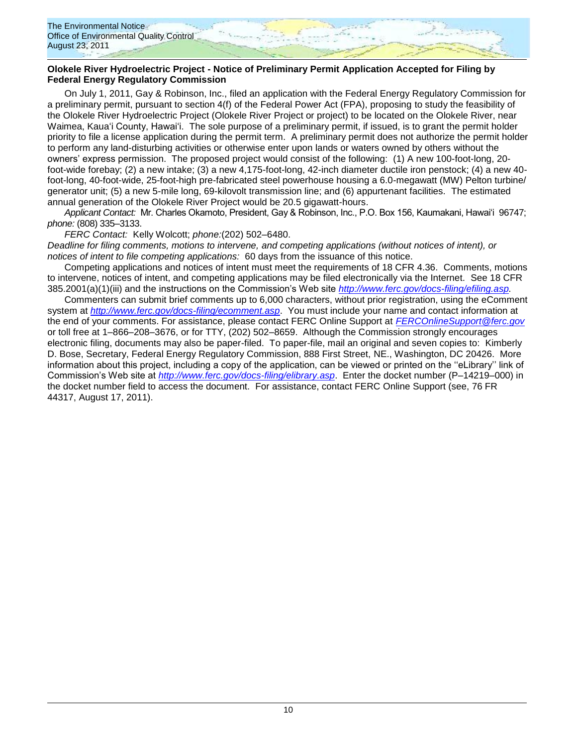

### **Olokele River Hydroelectric Project - Notice of Preliminary Permit Application Accepted for Filing by Federal Energy Regulatory Commission**

On July 1, 2011, Gay & Robinson, Inc., filed an application with the Federal Energy Regulatory Commission for a preliminary permit, pursuant to section 4(f) of the Federal Power Act (FPA), proposing to study the feasibility of the Olokele River Hydroelectric Project (Olokele River Project or project) to be located on the Olokele River, near Waimea, Kaua'i County, Hawai'i. The sole purpose of a preliminary permit, if issued, is to grant the permit holder priority to file a license application during the permit term. A preliminary permit does not authorize the permit holder to perform any land-disturbing activities or otherwise enter upon lands or waters owned by others without the owners" express permission. The proposed project would consist of the following: (1) A new 100-foot-long, 20 foot-wide forebay; (2) a new intake; (3) a new 4,175-foot-long, 42-inch diameter ductile iron penstock; (4) a new 40 foot-long, 40-foot-wide, 25-foot-high pre-fabricated steel powerhouse housing a 6.0-megawatt (MW) Pelton turbine/ generator unit; (5) a new 5-mile long, 69-kilovolt transmission line; and (6) appurtenant facilities. The estimated annual generation of the Olokele River Project would be 20.5 gigawatt-hours.

*Applicant Contact:* Mr. Charles Okamoto, President, Gay & Robinson, Inc., P.O. Box 156, Kaumakani, Hawai"i 96747; *phone:* (808) 335–3133.

*FERC Contact:* Kelly Wolcott; *phone:*(202) 502–6480.

*Deadline for filing comments, motions to intervene, and competing applications (without notices of intent), or notices of intent to file competing applications:* 60 days from the issuance of this notice.

Competing applications and notices of intent must meet the requirements of 18 CFR 4.36. Comments, motions to intervene, notices of intent, and competing applications may be filed electronically via the Internet. See 18 CFR 385.2001(a)(1)(iii) and the instructions on the Commission"s Web site *[http://www.ferc.gov/docs-filing/efiling.asp.](http://www.ferc.gov/docs-filing/efiling.asp)*

Commenters can submit brief comments up to 6,000 characters, without prior registration, using the eComment system at *<http://www.ferc.gov/docs-filing/ecomment.asp>*. You must include your name and contact information at the end of your comments. For assistance, please contact FERC Online Support at *[FERCOnlineSupport@ferc.gov](mailto:FERCOnlineSupport@ferc.gov)* or toll free at 1–866–208–3676, or for TTY, (202) 502–8659. Although the Commission strongly encourages electronic filing, documents may also be paper-filed. To paper-file, mail an original and seven copies to: Kimberly D. Bose, Secretary, Federal Energy Regulatory Commission, 888 First Street, NE., Washington, DC 20426. More information about this project, including a copy of the application, can be viewed or printed on the ""eLibrary"" link of Commission"s Web site at *<http://www.ferc.gov/docs-filing/elibrary.asp>*. Enter the docket number (P–14219–000) in the docket number field to access the document. For assistance, contact FERC Online Support (see, 76 FR 44317, August 17, 2011).